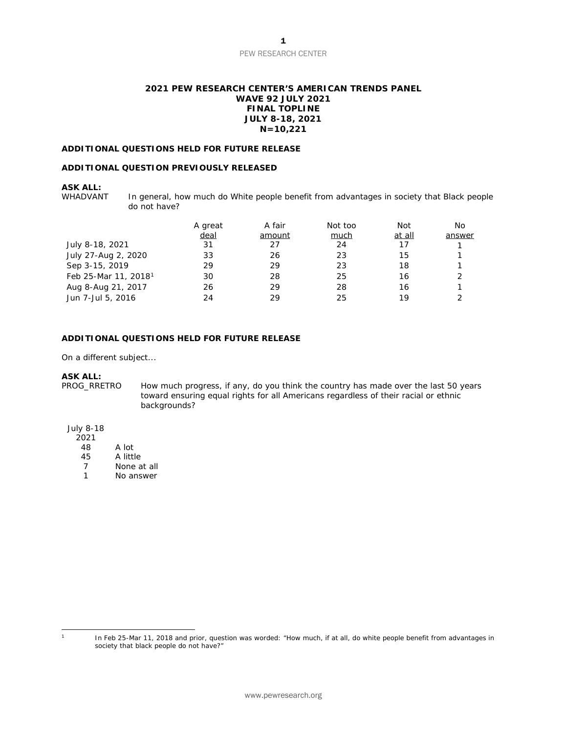### PEW RESEARCH CENTER

### **2021 PEW RESEARCH CENTER'S AMERICAN TRENDS PANEL WAVE 92 JULY 2021 FINAL TOPLINE JULY 8-18, 2021 N=10,221**

### **ADDITIONAL QUESTIONS HELD FOR FUTURE RELEASE**

### **ADDITIONAL QUESTION PREVIOUSLY RELEASED**

### **ASK ALL:**

WHADVANT In general, how much do White people benefit from advantages in society that Black people do not have?

|                                  | A great | A fair | Not too | Not    | No     |
|----------------------------------|---------|--------|---------|--------|--------|
|                                  | deal    | amount | much    | at all | answer |
| July 8-18, 2021                  | 31      | 27     | 24      | 17     |        |
| July 27-Aug 2, 2020              | 33      | 26     | 23      | 15     |        |
| Sep 3-15, 2019                   | 29      | 29     | 23      | 18     |        |
| Feb 25-Mar 11, 2018 <sup>1</sup> | 30      | 28     | 25      | 16     |        |
| Aug 8-Aug 21, 2017               | 26      | 29     | 28      | 16     |        |
| Jun 7-Jul 5, 2016                | 24      | 29     | 25      | 19     |        |

### **ADDITIONAL QUESTIONS HELD FOR FUTURE RELEASE**

On a different subject...

**ASK ALL:**  How much progress, if any, do you think the country has made over the last 50 years toward ensuring equal rights for all Americans regardless of their racial or ethnic backgrounds?

### July 8-18

- $2021$ <br>48
- 48 A lot<br>45 A littl
- A little
- 7 None at all
- 1 No answer

<span id="page-0-0"></span>

<sup>1</sup> In Feb 25-Mar 11, 2018 and prior, question was worded: "How much, if at all, do white people benefit from advantages in society that black people do not have?"